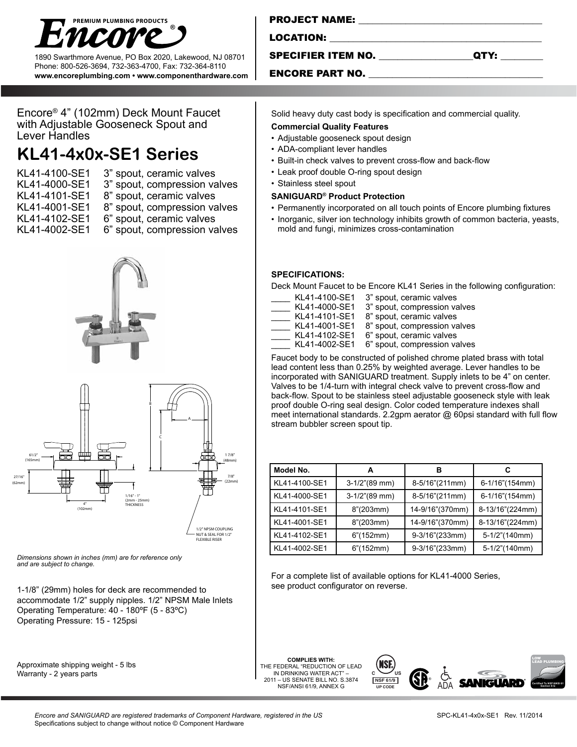

1890 Swarthmore Avenue, PO Box 2020, Lakewood, NJ 08701 Phone: 800-526-3694, 732-363-4700, Fax: 732-364-8110 **www.encoreplumbing.com • www.componenthardware.com**

| <b>PROJECT NAME:</b>      |      |
|---------------------------|------|
| LOCATION:                 |      |
| <b>SPECIFIER ITEM NO.</b> | QTY: |
| <b>ENCORE PART NO.</b>    |      |

Solid heavy duty cast body is specification and commercial quality.

• Built-in check valves to prevent cross-flow and back-flow

Deck Mount Faucet to be Encore KL41 Series in the following configuration:

• Permanently incorporated on all touch points of Encore plumbing fixtures • Inorganic, silver ion technology inhibits growth of common bacteria, yeasts,

8" spout, ceramic valves

6" spout, compression valves Faucet body to be constructed of polished chrome plated brass with total lead content less than 0.25% by weighted average. Lever handles to be incorporated with SANIGUARD treatment. Supply inlets to be 4" on center. Valves to be 1/4-turn with integral check valve to prevent cross-flow and back-flow. Spout to be stainless steel adjustable gooseneck style with leak proof double O-ring seal design. Color coded temperature indexes shall meet international standards. 2.2gpm aerator @ 60psi standard with full flow

KL41-4100-SE1 3" spout, ceramic valves KL41-4000-SE1 3" spout, compression valves<br>KL41-4101-SE1 8" spout, ceramic valves

mold and fungi, minimizes cross-contamination

KL41-4001-SE1 8" spout, compression valves KL41-4102-SE1 6" spout, ceramic valves<br>KL41-4002-SE1 6" spout, compression va

For a complete list of available options for KL41-4000 Series,

**Model No. A B C** KL41-4100-SE1 3-1/2"(89 mm) 8-5/16"(211mm) 6-1/16"(154mm) KL41-4000-SE1 | 3-1/2"(89 mm) | 8-5/16"(211mm) | 6-1/16"(154mm) KL41-4101-SE1 | 8"(203mm) | 14-9/16"(370mm) | 8-13/16"(224mm) KL41-4001-SE1 | 8"(203mm) | 14-9/16"(370mm) | 8-13/16"(224mm) KL41-4102-SE1 | 6"(152mm) | 9-3/16"(233mm) | 5-1/2"(140mm) KL41-4002-SE1 | 6"(152mm) | 9-3/16"(233mm) | 5-1/2"(140mm)

Encore® 4" (102mm) Deck Mount Faucet with Adjustable Gooseneck Spout and Lever Handles

## **KL41-4x0x-SE1 Series**

- KL41-4100-SE1 3" spout, ceramic valves
- KL41-4000-SE1 3" spout, compression valves
- KL41-4101-SE1 8" spout, ceramic valves
- 
- KL41-4001-SE1 8" spout, compression valves
- KL41-4102-SE1 6" spout, ceramic valves
- KL41-4002-SE1 6" spout, compression valves





*Dimensions shown in inches (mm) are for reference only and are subject to change.* 

1-1/8" (29mm) holes for deck are recommended to accommodate 1/2" supply nipples. 1/2" NPSM Male Inlets Operating Temperature: 40 - 180ºF (5 - 83ºC) Operating Pressure: 15 - 125psi

Approximate shipping weight - 5 lbs Warranty - 2 years parts

**COMPLIES WITH:** THE FEDERAL "REDUCTION OF LEAD IN DRINKING WATER ACT" – 2011 – US SENATE BILL NO. S.3874 NSF/ANSI 61/9, ANNEX G

**SPECIFICATIONS:** 

• Stainless steel spout

**Commercial Quality Features** • Adjustable gooseneck spout design • ADA-compliant lever handles

• Leak proof double O-ring spout design

**SANIGUARD® Product Protection**

stream bubbler screen spout tip.

see product configurator on reverse.



*Encore and SANIGUARD are registered trademarks of Component Hardware, registered in the US*  Specifications subject to change without notice © Component Hardware